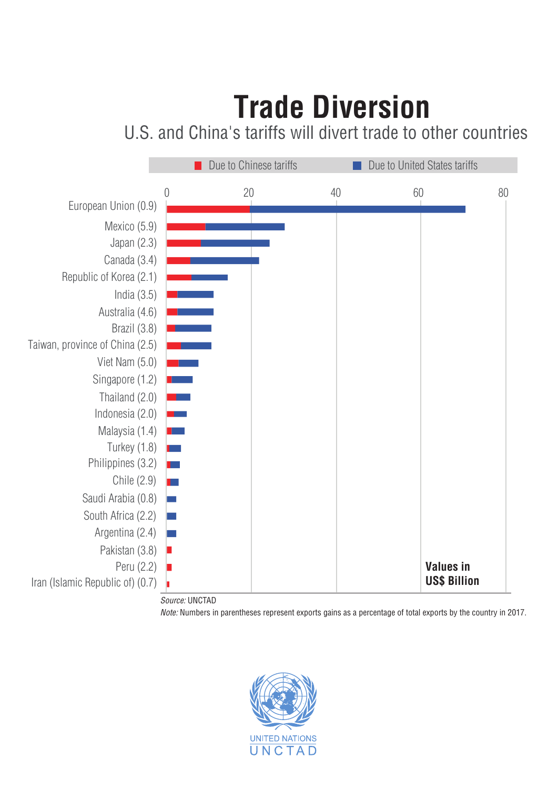## **Trade Diversion**

U.S. and China's tariffs will divert trade to other countries



*Note:* Numbers in parentheses represent exports gains as a percentage of total exports by the country in 2017.

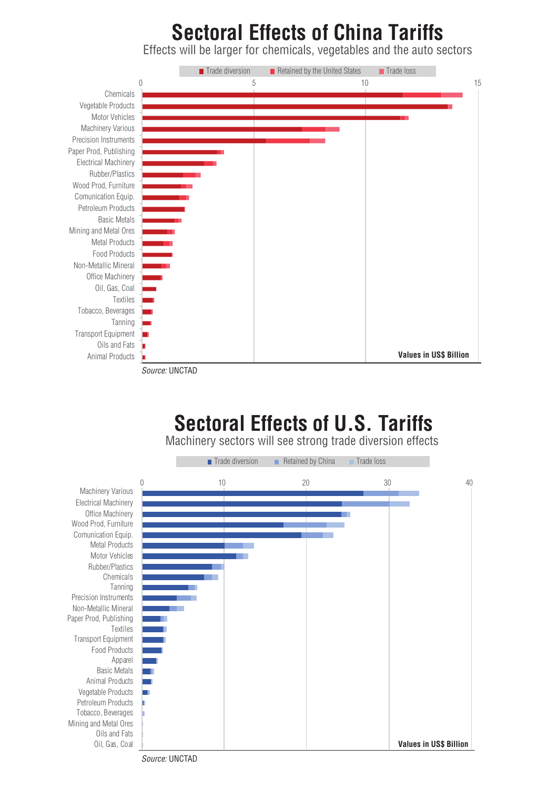## **Sectoral Effects of China Tariffs**

Effects will be larger for chemicals, vegetables and the auto sectors



*Source:* UNCTAD

## **Sectoral Effects of U.S. Tariffs**

Machinery sectors will see strong trade diversion effects



*Source:* UNCTAD